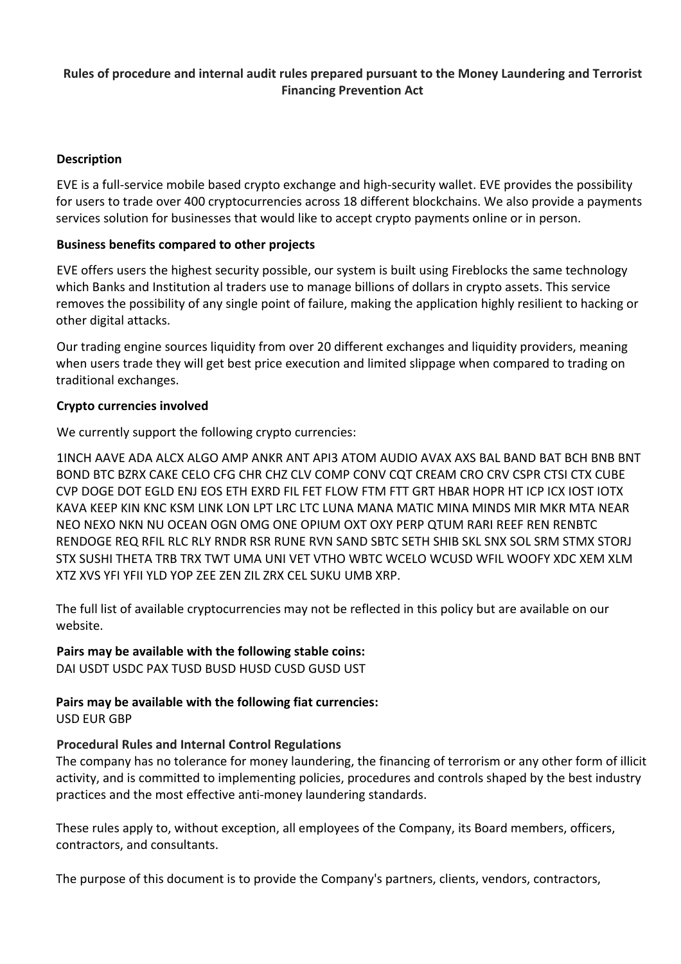### **Rules of procedure and internal audit rules prepared pursuant to the Money Laundering and Terrorist Financing Prevention Act**

### **Description**

EVE is a full-service mobile based crypto exchange and high-security wallet. EVE provides the possibility for users to trade over 400 cryptocurrencies across 18 different blockchains. We also provide a payments services solution for businesses that would like to accept crypto payments online or in person.

### **Business benefits compared to other projects**

EVE offers users the highest security possible, our system is built using Fireblocks the same technology which Banks and Institution al traders use to manage billions of dollars in crypto assets. This service removes the possibility of any single point of failure, making the application highly resilient to hacking or other digital attacks.

Our trading engine sources liquidity from over 20 different exchanges and liquidity providers, meaning when users trade they will get best price execution and limited slippage when compared to trading on traditional exchanges.

### **Crypto currencies involved**

We currently support the following crypto currencies:

1INCH AAVE ADA ALCX ALGO AMP ANKR ANT API3 ATOM AUDIO AVAX AXS BAL BAND BAT BCH BNB BNT BOND BTC BZRX CAKE CELO CFG CHR CHZ CLV COMP CONV CQT CREAM CRO CRV CSPR CTSI CTX CUBE CVP DOGE DOT EGLD ENJ EOS ETH EXRD FIL FET FLOW FTM FTT GRT HBAR HOPR HT ICP ICX IOST IOTX KAVA KEEP KIN KNC KSM LINK LON LPT LRC LTC LUNA MANA MATIC MINA MINDS MIR MKR MTA NEAR NEO NEXO NKN NU OCEAN OGN OMG ONE OPIUM OXT OXY PERP QTUM RARI REEF REN RENBTC RENDOGE REQ RFIL RLC RLY RNDR RSR RUNE RVN SAND SBTC SETH SHIB SKL SNX SOL SRM STMX STORJ STX SUSHI THETA TRB TRX TWT UMA UNI VET VTHO WBTC WCELO WCUSD WFIL WOOFY XDC XEM XLM XTZ XVS YFI YFII YLD YOP ZEE ZEN ZIL ZRX CEL SUKU UMB XRP.

The full list of available cryptocurrencies may not be reflected in this policy but are available on our website.

# **Pairs may be available with the following stable coins:**

DAI USDT USDC PAX TUSD BUSD HUSD CUSD GUSD UST

#### **Pairs may be available with the following fiat currencies:** USD EUR GBP

# **Procedural Rules and Internal Control Regulations**

The company has no tolerance for money laundering, the financing of terrorism or any other form of illicit activity, and is committed to implementing policies, procedures and controls shaped by the best industry practices and the most effective anti-money laundering standards.

These rules apply to, without exception, all employees of the Company, its Board members, officers, contractors, and consultants.

The purpose of this document is to provide the Company's partners, clients, vendors, contractors,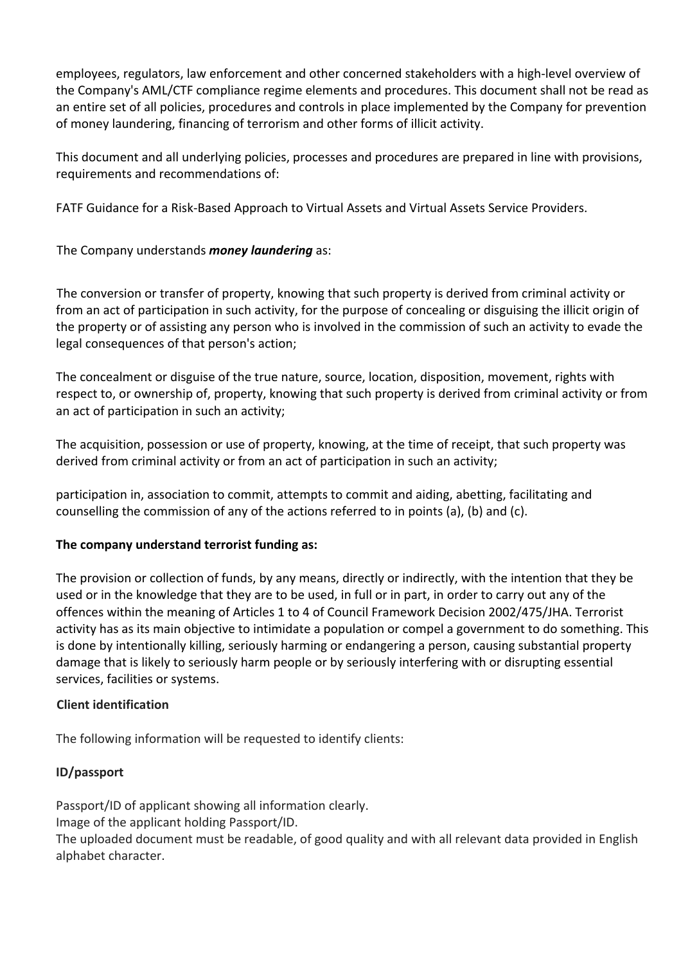employees, regulators, law enforcement and other concerned stakeholders with a high-level overview of the Company's AML/CTF compliance regime elements and procedures. This document shall not be read as an entire set of all policies, procedures and controls in place implemented by the Company for prevention of money laundering, financing of terrorism and other forms of illicit activity.

This document and all underlying policies, processes and procedures are prepared in line with provisions, requirements and recommendations of:

FATF Guidance for a Risk-Based Approach to Virtual Assets and Virtual Assets Service Providers.

The Company understands *money laundering* as:

The conversion or transfer of property, knowing that such property is derived from criminal activity or from an act of participation in such activity, for the purpose of concealing or disguising the illicit origin of the property or of assisting any person who is involved in the commission of such an activity to evade the legal consequences of that person's action;

The concealment or disguise of the true nature, source, location, disposition, movement, rights with respect to, or ownership of, property, knowing that such property is derived from criminal activity or from an act of participation in such an activity;

The acquisition, possession or use of property, knowing, at the time of receipt, that such property was derived from criminal activity or from an act of participation in such an activity;

participation in, association to commit, attempts to commit and aiding, abetting, facilitating and counselling the commission of any of the actions referred to in points (a), (b) and (c).

# **The company understand terrorist funding as:**

The provision or collection of funds, by any means, directly or indirectly, with the intention that they be used or in the knowledge that they are to be used, in full or in part, in order to carry out any of the offences within the meaning of Articles 1 to 4 of Council Framework Decision 2002/475/JHA. Terrorist activity has as its main objective to intimidate a population or compel a government to do something. This is done by intentionally killing, seriously harming or endangering a person, causing substantial property damage that is likely to seriously harm people or by seriously interfering with or disrupting essential services, facilities or systems.

# **Client identification**

The following information will be requested to identify clients:

# **ID/passport**

Passport/ID of applicant showing all information clearly.

Image of the applicant holding Passport/ID.

The uploaded document must be readable, of good quality and with all relevant data provided in English alphabet character.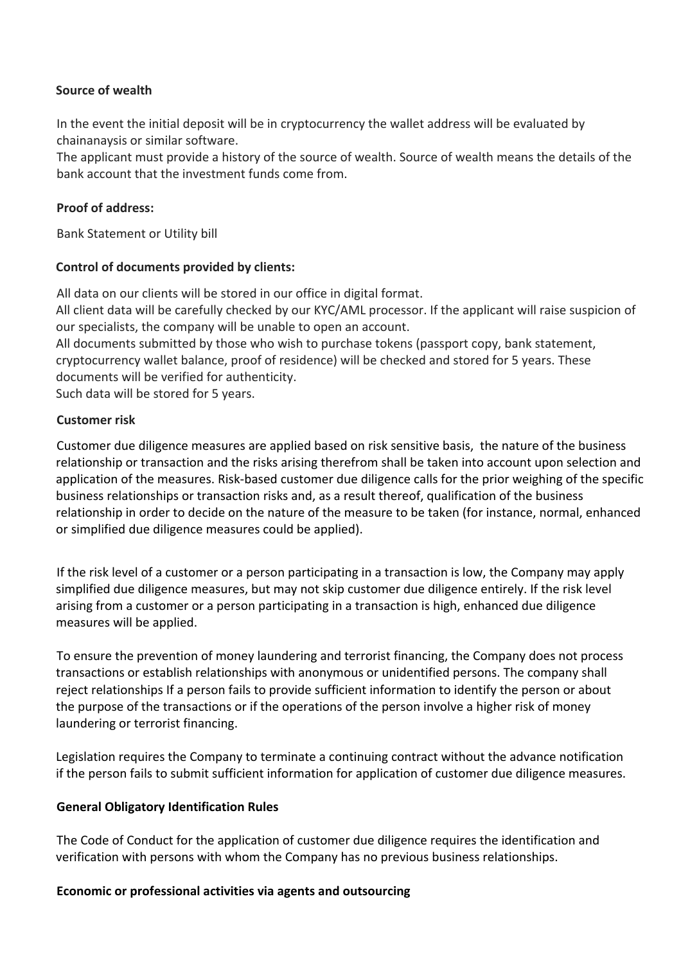### **Source of wealth**

In the event the initial deposit will be in cryptocurrency the wallet address will be evaluated by chainanaysis or similar software.

The applicant must provide a history of the source of wealth. Source of wealth means the details of the bank account that the investment funds come from.

### **Proof of address:**

Bank Statement or Utility bill

# **Control of documents provided by clients:**

All data on our clients will be stored in our office in digital format.

All client data will be carefully checked by our KYC/AML processor. If the applicant will raise suspicion of our specialists, the company will be unable to open an account.

All documents submitted by those who wish to purchase tokens (passport copy, bank statement, cryptocurrency wallet balance, proof of residence) will be checked and stored for 5 years. These documents will be verified for authenticity.

Such data will be stored for 5 years.

### **Customer risk**

Customer due diligence measures are applied based on risk sensitive basis, the nature of the business relationship or transaction and the risks arising therefrom shall be taken into account upon selection and application of the measures. Risk-based customer due diligence calls for the prior weighing of the specific business relationships or transaction risks and, as a result thereof, qualification of the business relationship in order to decide on the nature of the measure to be taken (for instance, normal, enhanced or simplified due diligence measures could be applied).

If the risk level of a customer or a person participating in a transaction is low, the Company may apply simplified due diligence measures, but may not skip customer due diligence entirely. If the risk level arising from a customer or a person participating in a transaction is high, enhanced due diligence measures will be applied.

To ensure the prevention of money laundering and terrorist financing, the Company does not process transactions or establish relationships with anonymous or unidentified persons. The company shall reject relationships If a person fails to provide sufficient information to identify the person or about the purpose of the transactions or if the operations of the person involve a higher risk of money laundering or terrorist financing.

Legislation requires the Company to terminate a continuing contract without the advance notification if the person fails to submit sufficient information for application of customer due diligence measures.

# **General Obligatory Identification Rules**

The Code of Conduct for the application of customer due diligence requires the identification and verification with persons with whom the Company has no previous business relationships.

#### **Economic or professional activities via agents and outsourcing**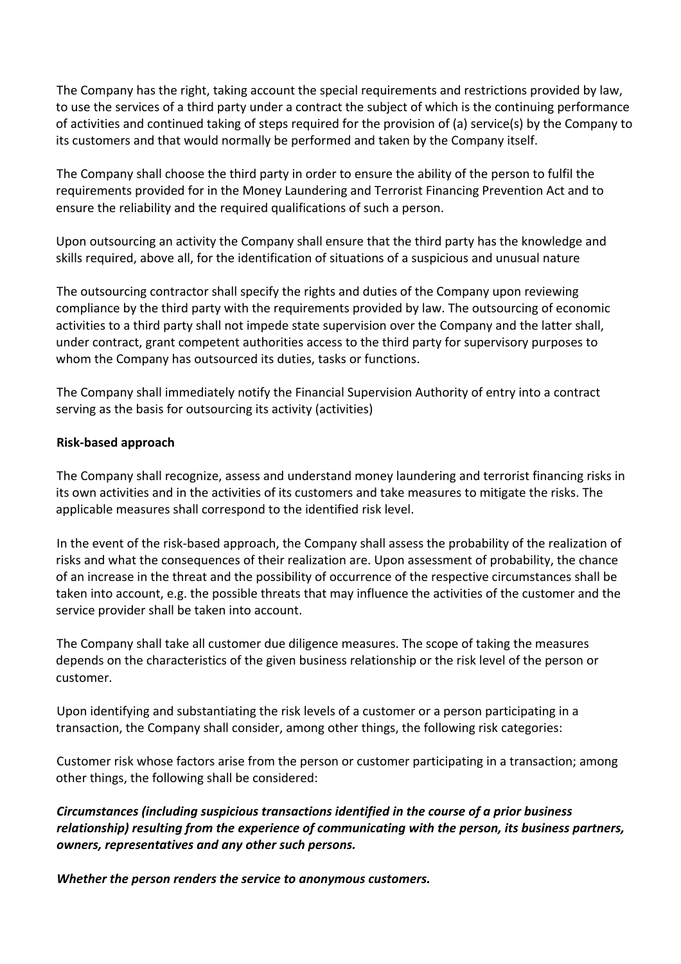The Company has the right, taking account the special requirements and restrictions provided by law, to use the services of a third party under a contract the subject of which is the continuing performance of activities and continued taking of steps required for the provision of (a) service(s) by the Company to its customers and that would normally be performed and taken by the Company itself.

The Company shall choose the third party in order to ensure the ability of the person to fulfil the requirements provided for in the Money Laundering and Terrorist Financing Prevention Act and to ensure the reliability and the required qualifications of such a person.

Upon outsourcing an activity the Company shall ensure that the third party has the knowledge and skills required, above all, for the identification of situations of a suspicious and unusual nature

The outsourcing contractor shall specify the rights and duties of the Company upon reviewing compliance by the third party with the requirements provided by law. The outsourcing of economic activities to a third party shall not impede state supervision over the Company and the latter shall, under contract, grant competent authorities access to the third party for supervisory purposes to whom the Company has outsourced its duties, tasks or functions.

The Company shall immediately notify the Financial Supervision Authority of entry into a contract serving as the basis for outsourcing its activity (activities)

# **Risk-based approach**

The Company shall recognize, assess and understand money laundering and terrorist financing risks in its own activities and in the activities of its customers and take measures to mitigate the risks. The applicable measures shall correspond to the identified risk level.

In the event of the risk-based approach, the Company shall assess the probability of the realization of risks and what the consequences of their realization are. Upon assessment of probability, the chance of an increase in the threat and the possibility of occurrence of the respective circumstances shall be taken into account, e.g. the possible threats that may influence the activities of the customer and the service provider shall be taken into account.

The Company shall take all customer due diligence measures. The scope of taking the measures depends on the characteristics of the given business relationship or the risk level of the person or customer.

Upon identifying and substantiating the risk levels of a customer or a person participating in a transaction, the Company shall consider, among other things, the following risk categories:

Customer risk whose factors arise from the person or customer participating in a transaction; among other things, the following shall be considered:

*Circumstances (including suspicious transactions identified in the course of a prior business relationship) resulting from the experience of communicating with the person, its business partners, owners, representatives and any other such persons.*

*Whether the person renders the service to anonymous customers.*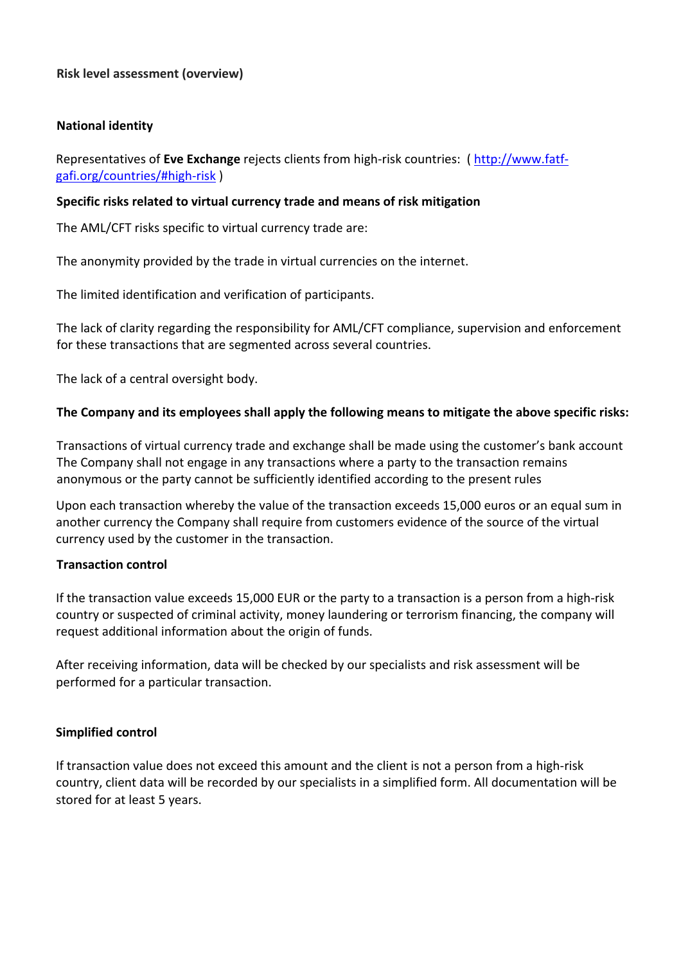### **National identity**

Representatives of **Eve Exchange** rejects clients from high-risk countries: ( http://www.fatfgafi.org/countries/#high-risk )

### **Specific risks related to virtual currency trade and means of risk mitigation**

The AML/CFT risks specific to virtual currency trade are:

The anonymity provided by the trade in virtual currencies on the internet.

The limited identification and verification of participants.

The lack of clarity regarding the responsibility for AML/CFT compliance, supervision and enforcement for these transactions that are segmented across several countries.

The lack of a central oversight body.

# **The Company and its employees shall apply the following means to mitigate the above specific risks:**

Transactions of virtual currency trade and exchange shall be made using the customer's bank account The Company shall not engage in any transactions where a party to the transaction remains anonymous or the party cannot be sufficiently identified according to the present rules

Upon each transaction whereby the value of the transaction exceeds 15,000 euros or an equal sum in another currency the Company shall require from customers evidence of the source of the virtual currency used by the customer in the transaction.

#### **Transaction control**

If the transaction value exceeds 15,000 EUR or the party to a transaction is a person from a high-risk country or suspected of criminal activity, money laundering or terrorism financing, the company will request additional information about the origin of funds.

After receiving information, data will be checked by our specialists and risk assessment will be performed for a particular transaction.

# **Simplified control**

If transaction value does not exceed this amount and the client is not a person from a high-risk country, client data will be recorded by our specialists in a simplified form. All documentation will be stored for at least 5 years.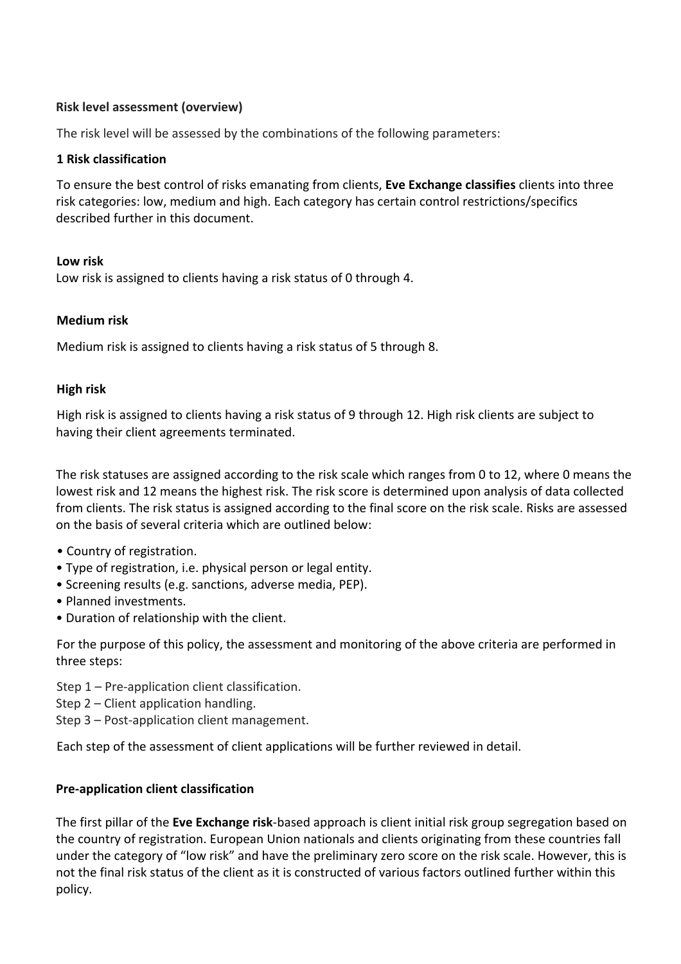# **Risk level assessment (overview)**

The risk level will be assessed by the combinations of the following parameters:

### **1 Risk classification**

To ensure the best control of risks emanating from clients, **Eve Exchange classifies** clients into three risk categories: low, medium and high. Each category has certain control restrictions/specifics described further in this document.

#### **Low risk**

Low risk is assigned to clients having a risk status of 0 through 4.

# **Medium risk**

Medium risk is assigned to clients having a risk status of 5 through 8.

### **High risk**

High risk is assigned to clients having a risk status of 9 through 12. High risk clients are subject to having their client agreements terminated.

The risk statuses are assigned according to the risk scale which ranges from 0 to 12, where 0 means the lowest risk and 12 means the highest risk. The risk score is determined upon analysis of data collected from clients. The risk status is assigned according to the final score on the risk scale. Risks are assessed on the basis of several criteria which are outlined below:

- Country of registration.
- Type of registration, i.e. physical person or legal entity.
- Screening results (e.g. sanctions, adverse media, PEP).
- Planned investments.
- Duration of relationship with the client.

For the purpose of this policy, the assessment and monitoring of the above criteria are performed in three steps:

- Step 1 Pre-application client classification.
- Step 2 Client application handling.
- Step 3 Post-application client management.

Each step of the assessment of client applications will be further reviewed in detail.

# **Pre-application client classification**

The first pillar of the **Eve Exchange risk**-based approach is client initial risk group segregation based on the country of registration. European Union nationals and clients originating from these countries fall under the category of "low risk" and have the preliminary zero score on the risk scale. However, this is not the final risk status of the client as it is constructed of various factors outlined further within this policy.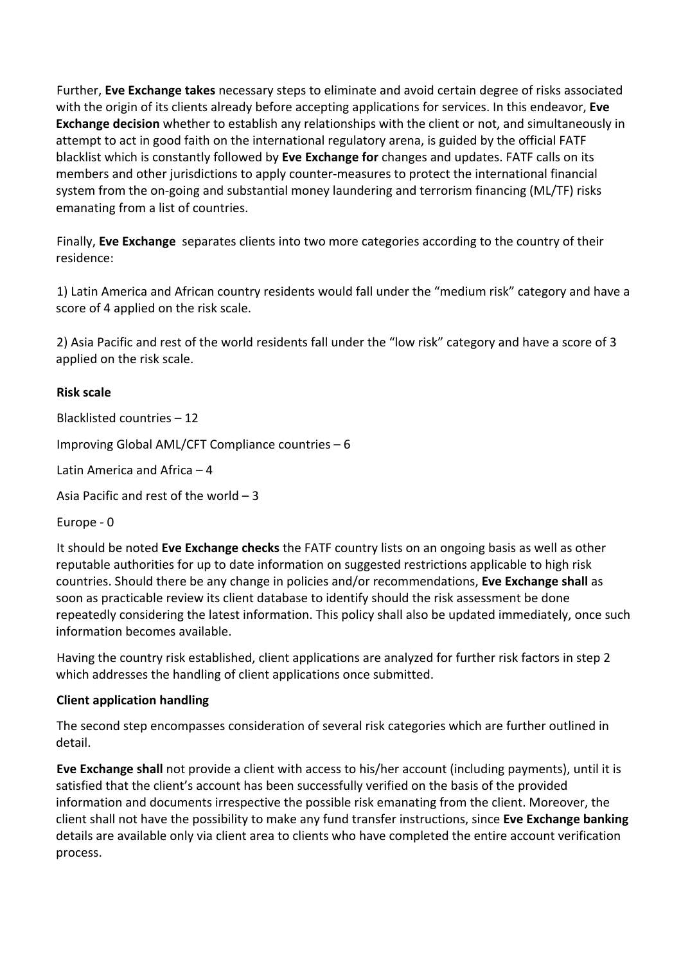Further, **Eve Exchange takes** necessary steps to eliminate and avoid certain degree of risks associated with the origin of its clients already before accepting applications for services. In this endeavor, **Eve Exchange decision** whether to establish any relationships with the client or not, and simultaneously in attempt to act in good faith on the international regulatory arena, is guided by the official FATF blacklist which is constantly followed by **Eve Exchange for** changes and updates. FATF calls on its members and other jurisdictions to apply counter-measures to protect the international financial system from the on-going and substantial money laundering and terrorism financing (ML/TF) risks emanating from a list of countries.

Finally, **Eve Exchange** separates clients into two more categories according to the country of their residence:

1) Latin America and African country residents would fall under the "medium risk" category and have a score of 4 applied on the risk scale.

2) Asia Pacific and rest of the world residents fall under the "low risk" category and have a score of 3 applied on the risk scale.

# **Risk scale**

Blacklisted countries – 12

Improving Global AML/CFT Compliance countries – 6

Latin America and Africa – 4

Asia Pacific and rest of the world – 3

Europe - 0

It should be noted **Eve Exchange checks** the FATF country lists on an ongoing basis as well as other reputable authorities for up to date information on suggested restrictions applicable to high risk countries. Should there be any change in policies and/or recommendations, **Eve Exchange shall** as soon as practicable review its client database to identify should the risk assessment be done repeatedly considering the latest information. This policy shall also be updated immediately, once such information becomes available.

Having the country risk established, client applications are analyzed for further risk factors in step 2 which addresses the handling of client applications once submitted.

# **Client application handling**

The second step encompasses consideration of several risk categories which are further outlined in detail.

**Eve Exchange shall** not provide a client with access to his/her account (including payments), until it is satisfied that the client's account has been successfully verified on the basis of the provided information and documents irrespective the possible risk emanating from the client. Moreover, the client shall not have the possibility to make any fund transfer instructions, since **Eve Exchange banking** details are available only via client area to clients who have completed the entire account verification process.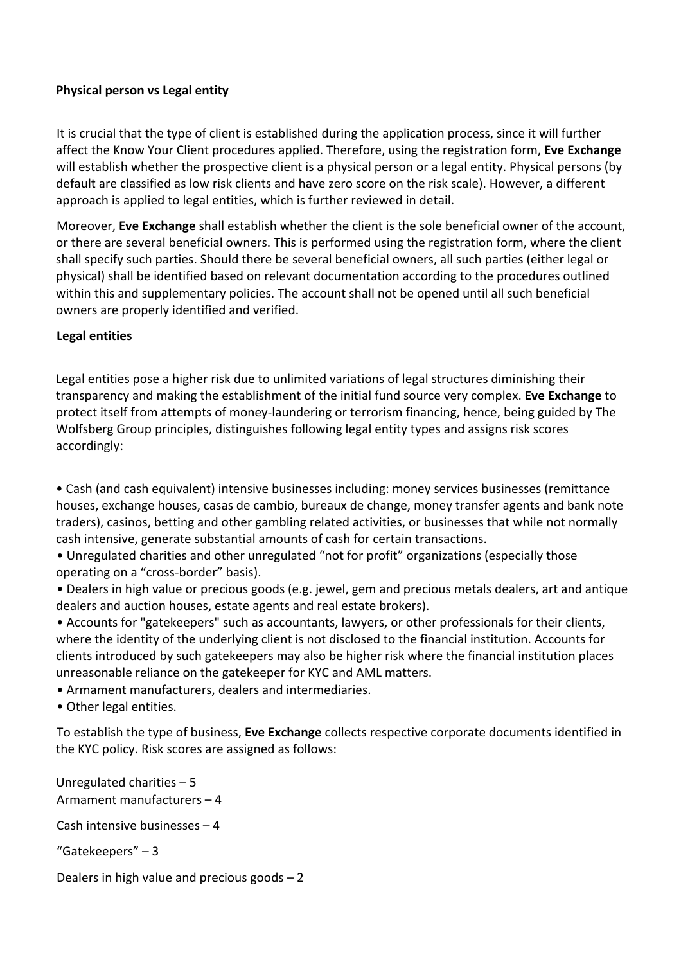### **Physical person vs Legal entity**

It is crucial that the type of client is established during the application process, since it will further affect the Know Your Client procedures applied. Therefore, using the registration form, **Eve Exchange**  will establish whether the prospective client is a physical person or a legal entity. Physical persons (by default are classified as low risk clients and have zero score on the risk scale). However, a different approach is applied to legal entities, which is further reviewed in detail.

Moreover, **Eve Exchange** shall establish whether the client is the sole beneficial owner of the account, or there are several beneficial owners. This is performed using the registration form, where the client shall specify such parties. Should there be several beneficial owners, all such parties (either legal or physical) shall be identified based on relevant documentation according to the procedures outlined within this and supplementary policies. The account shall not be opened until all such beneficial owners are properly identified and verified.

### **Legal entities**

Legal entities pose a higher risk due to unlimited variations of legal structures diminishing their transparency and making the establishment of the initial fund source very complex. **Eve Exchange** to protect itself from attempts of money-laundering or terrorism financing, hence, being guided by The Wolfsberg Group principles, distinguishes following legal entity types and assigns risk scores accordingly:

• Cash (and cash equivalent) intensive businesses including: money services businesses (remittance houses, exchange houses, casas de cambio, bureaux de change, money transfer agents and bank note traders), casinos, betting and other gambling related activities, or businesses that while not normally cash intensive, generate substantial amounts of cash for certain transactions.

• Unregulated charities and other unregulated "not for profit" organizations (especially those operating on a "cross-border" basis).

• Dealers in high value or precious goods (e.g. jewel, gem and precious metals dealers, art and antique dealers and auction houses, estate agents and real estate brokers).

• Accounts for "gatekeepers" such as accountants, lawyers, or other professionals for their clients, where the identity of the underlying client is not disclosed to the financial institution. Accounts for clients introduced by such gatekeepers may also be higher risk where the financial institution places unreasonable reliance on the gatekeeper for KYC and AML matters.

• Armament manufacturers, dealers and intermediaries.

• Other legal entities.

To establish the type of business, **Eve Exchange** collects respective corporate documents identified in the KYC policy. Risk scores are assigned as follows:

Unregulated charities – 5 Armament manufacturers – 4

Cash intensive businesses – 4

"Gatekeepers" – 3

Dealers in high value and precious goods  $-2$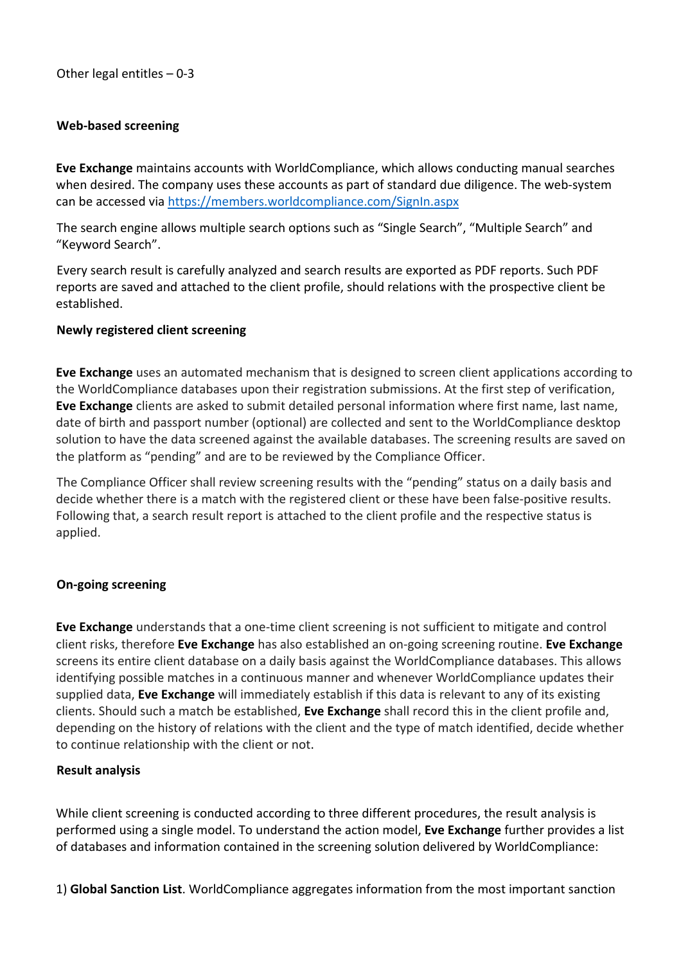### **Web-based screening**

**Eve Exchange** maintains accounts with WorldCompliance, which allows conducting manual searches when desired. The company uses these accounts as part of standard due diligence. The web-system can be accessed via https://members.worldcompliance.com/SignIn.aspx

The search engine allows multiple search options such as "Single Search", "Multiple Search" and "Keyword Search".

Every search result is carefully analyzed and search results are exported as PDF reports. Such PDF reports are saved and attached to the client profile, should relations with the prospective client be established.

### **Newly registered client screening**

**Eve Exchange** uses an automated mechanism that is designed to screen client applications according to the WorldCompliance databases upon their registration submissions. At the first step of verification, **Eve Exchange** clients are asked to submit detailed personal information where first name, last name, date of birth and passport number (optional) are collected and sent to the WorldCompliance desktop solution to have the data screened against the available databases. The screening results are saved on the platform as "pending" and are to be reviewed by the Compliance Officer.

The Compliance Officer shall review screening results with the "pending" status on a daily basis and decide whether there is a match with the registered client or these have been false-positive results. Following that, a search result report is attached to the client profile and the respective status is applied.

#### **On-going screening**

**Eve Exchange** understands that a one-time client screening is not sufficient to mitigate and control client risks, therefore **Eve Exchange** has also established an on-going screening routine. **Eve Exchange**  screens its entire client database on a daily basis against the WorldCompliance databases. This allows identifying possible matches in a continuous manner and whenever WorldCompliance updates their supplied data, **Eve Exchange** will immediately establish if this data is relevant to any of its existing clients. Should such a match be established, **Eve Exchange** shall record this in the client profile and, depending on the history of relations with the client and the type of match identified, decide whether to continue relationship with the client or not.

#### **Result analysis**

While client screening is conducted according to three different procedures, the result analysis is performed using a single model. To understand the action model, **Eve Exchange** further provides a list of databases and information contained in the screening solution delivered by WorldCompliance:

1) **Global Sanction List**. WorldCompliance aggregates information from the most important sanction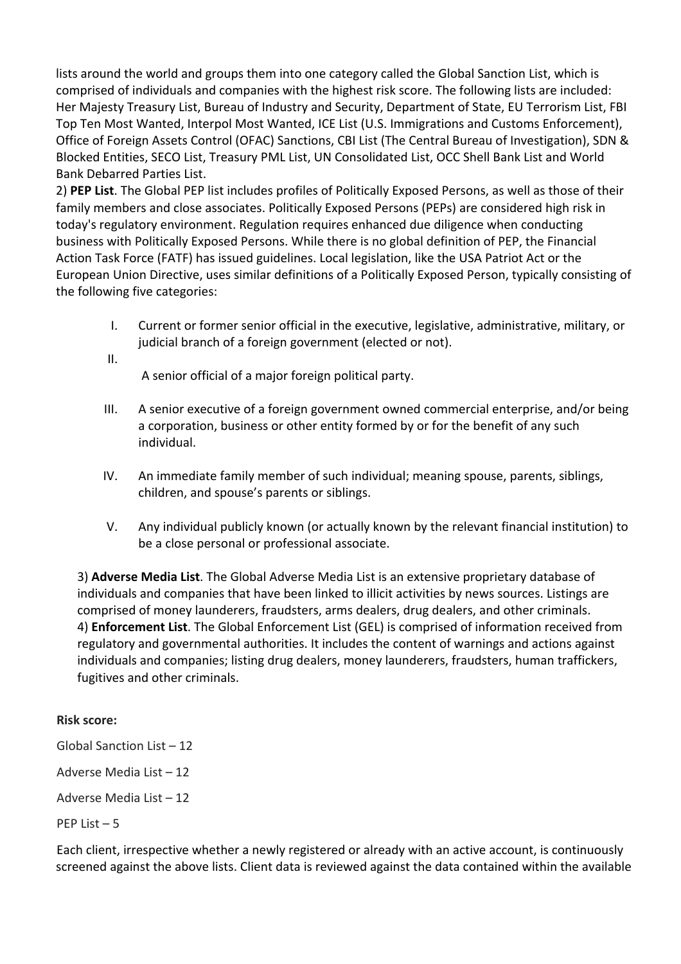lists around the world and groups them into one category called the Global Sanction List, which is comprised of individuals and companies with the highest risk score. The following lists are included: Her Majesty Treasury List, Bureau of Industry and Security, Department of State, EU Terrorism List, FBI Top Ten Most Wanted, Interpol Most Wanted, ICE List (U.S. Immigrations and Customs Enforcement), Office of Foreign Assets Control (OFAC) Sanctions, CBI List (The Central Bureau of Investigation), SDN & Blocked Entities, SECO List, Treasury PML List, UN Consolidated List, OCC Shell Bank List and World Bank Debarred Parties List.

2) **PEP List**. The Global PEP list includes profiles of Politically Exposed Persons, as well as those of their family members and close associates. Politically Exposed Persons (PEPs) are considered high risk in today's regulatory environment. Regulation requires enhanced due diligence when conducting business with Politically Exposed Persons. While there is no global definition of PEP, the Financial Action Task Force (FATF) has issued guidelines. Local legislation, like the USA Patriot Act or the European Union Directive, uses similar definitions of a Politically Exposed Person, typically consisting of the following five categories:

- I. Current or former senior official in the executive, legislative, administrative, military, or judicial branch of a foreign government (elected or not).
- II.

A senior official of a major foreign political party.

- III. A senior executive of a foreign government owned commercial enterprise, and/or being a corporation, business or other entity formed by or for the benefit of any such individual.
- IV. An immediate family member of such individual; meaning spouse, parents, siblings, children, and spouse's parents or siblings.
- V. Any individual publicly known (or actually known by the relevant financial institution) to be a close personal or professional associate.

3) **Adverse Media List**. The Global Adverse Media List is an extensive proprietary database of individuals and companies that have been linked to illicit activities by news sources. Listings are comprised of money launderers, fraudsters, arms dealers, drug dealers, and other criminals. 4) **Enforcement List**. The Global Enforcement List (GEL) is comprised of information received from regulatory and governmental authorities. It includes the content of warnings and actions against individuals and companies; listing drug dealers, money launderers, fraudsters, human traffickers, fugitives and other criminals.

#### **Risk score:**

Global Sanction List – 12

Adverse Media List – 12

Adverse Media List – 12

PEP List – 5

Each client, irrespective whether a newly registered or already with an active account, is continuously screened against the above lists. Client data is reviewed against the data contained within the available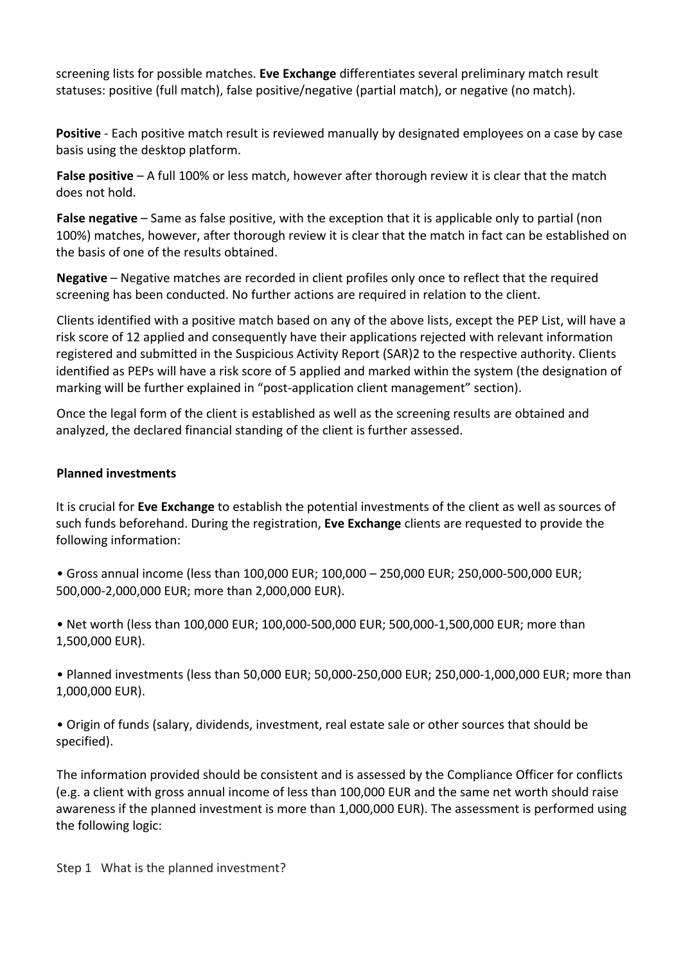screening lists for possible matches. **Eve Exchange** differentiates several preliminary match result statuses: positive (full match), false positive/negative (partial match), or negative (no match).

**Positive** - Each positive match result is reviewed manually by designated employees on a case by case basis using the desktop platform.

**False positive** – A full 100% or less match, however after thorough review it is clear that the match does not hold.

**False negative** – Same as false positive, with the exception that it is applicable only to partial (non 100%) matches, however, after thorough review it is clear that the match in fact can be established on the basis of one of the results obtained.

**Negative** – Negative matches are recorded in client profiles only once to reflect that the required screening has been conducted. No further actions are required in relation to the client.

Clients identified with a positive match based on any of the above lists, except the PEP List, will have a risk score of 12 applied and consequently have their applications rejected with relevant information registered and submitted in the Suspicious Activity Report (SAR)2 to the respective authority. Clients identified as PEPs will have a risk score of 5 applied and marked within the system (the designation of marking will be further explained in "post-application client management" section).

Once the legal form of the client is established as well as the screening results are obtained and analyzed, the declared financial standing of the client is further assessed.

# **Planned investments**

It is crucial for **Eve Exchange** to establish the potential investments of the client as well as sources of such funds beforehand. During the registration, **Eve Exchange** clients are requested to provide the following information:

• Gross annual income (less than 100,000 EUR; 100,000 – 250,000 EUR; 250,000-500,000 EUR; 500,000-2,000,000 EUR; more than 2,000,000 EUR).

• Net worth (less than 100,000 EUR; 100,000-500,000 EUR; 500,000-1,500,000 EUR; more than 1,500,000 EUR).

• Planned investments (less than 50,000 EUR; 50,000-250,000 EUR; 250,000-1,000,000 EUR; more than 1,000,000 EUR).

• Origin of funds (salary, dividends, investment, real estate sale or other sources that should be specified).

The information provided should be consistent and is assessed by the Compliance Officer for conflicts (e.g. a client with gross annual income of less than 100,000 EUR and the same net worth should raise awareness if the planned investment is more than 1,000,000 EUR). The assessment is performed using the following logic:

Step 1 What is the planned investment?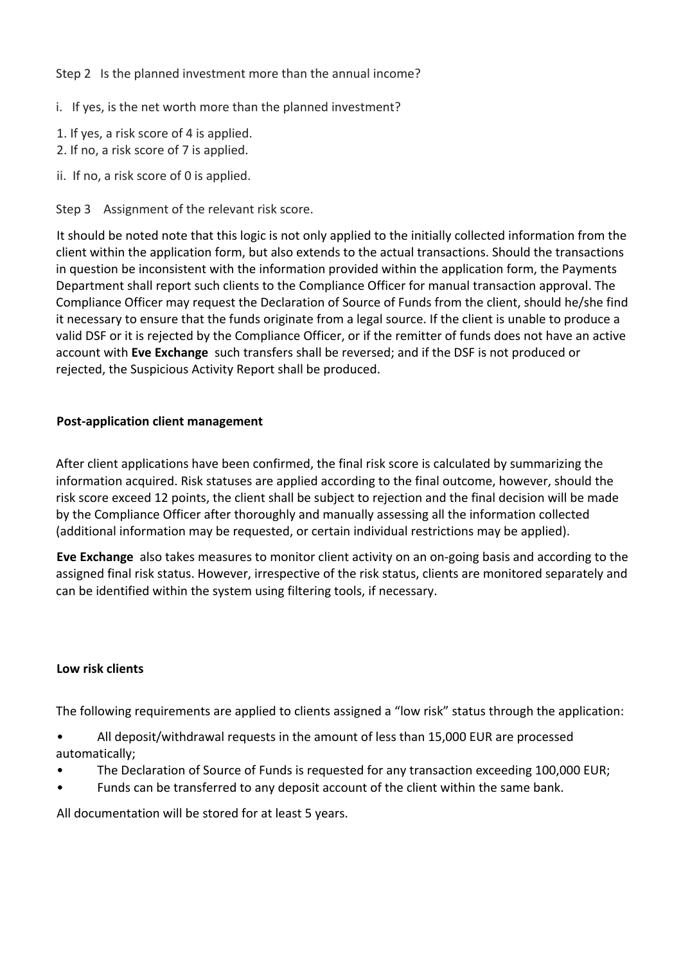Step 2 Is the planned investment more than the annual income?

# i. If yes, is the net worth more than the planned investment?

- 1. If yes, a risk score of 4 is applied.
- 2. If no, a risk score of 7 is applied.
- ii. If no, a risk score of 0 is applied.

Step 3 Assignment of the relevant risk score.

It should be noted note that this logic is not only applied to the initially collected information from the client within the application form, but also extends to the actual transactions. Should the transactions in question be inconsistent with the information provided within the application form, the Payments Department shall report such clients to the Compliance Officer for manual transaction approval. The Compliance Officer may request the Declaration of Source of Funds from the client, should he/she find it necessary to ensure that the funds originate from a legal source. If the client is unable to produce a valid DSF or it is rejected by the Compliance Officer, or if the remitter of funds does not have an active account with **Eve Exchange** such transfers shall be reversed; and if the DSF is not produced or rejected, the Suspicious Activity Report shall be produced.

### **Post-application client management**

After client applications have been confirmed, the final risk score is calculated by summarizing the information acquired. Risk statuses are applied according to the final outcome, however, should the risk score exceed 12 points, the client shall be subject to rejection and the final decision will be made by the Compliance Officer after thoroughly and manually assessing all the information collected (additional information may be requested, or certain individual restrictions may be applied).

**Eve Exchange** also takes measures to monitor client activity on an on-going basis and according to the assigned final risk status. However, irrespective of the risk status, clients are monitored separately and can be identified within the system using filtering tools, if necessary.

#### **Low risk clients**

The following requirements are applied to clients assigned a "low risk" status through the application:

- All deposit/withdrawal requests in the amount of less than 15,000 EUR are processed automatically;
- The Declaration of Source of Funds is requested for any transaction exceeding 100,000 EUR;
- Funds can be transferred to any deposit account of the client within the same bank.

All documentation will be stored for at least 5 years.